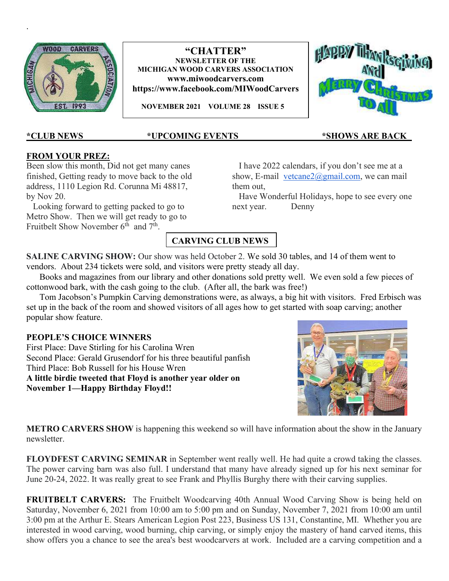

## "CHATTER" NEWSLETTER OF THE MICHIGAN WOOD CARVERS ASSOCIATION www.miwoodcarvers.com https://www.facebook.com/MIWoodCarvers

NOVEMBER 2021 VOLUME 28 ISSUE 5



.

## <u>\*CLUB NEWS \*UPCOMING EVENTS \*SHOWS ARE BACK\_</u>

## FROM YOUR PREZ:

Been slow this month, Did not get many canes finished, Getting ready to move back to the old address, 1110 Legion Rd. Corunna Mi 48817, by Nov 20.

 Looking forward to getting packed to go to Metro Show. Then we will get ready to go to Fruitbelt Show November  $6^{th}$  and  $7^{th}$ .

 I have 2022 calendars, if you don't see me at a show, E-mail vetcane $2\omega$ gmail.com, we can mail them out,

 Have Wonderful Holidays, hope to see every one next year. Denny

## CARVING CLUB NEWS

SALINE CARVING SHOW: Our show was held October 2. We sold 30 tables, and 14 of them went to vendors. About 234 tickets were sold, and visitors were pretty steady all day.

 Books and magazines from our library and other donations sold pretty well. We even sold a few pieces of cottonwood bark, with the cash going to the club. (After all, the bark was free!)

 Tom Jacobson's Pumpkin Carving demonstrations were, as always, a big hit with visitors. Fred Erbisch was set up in the back of the room and showed visitors of all ages how to get started with soap carving; another popular show feature.

## PEOPLE'S CHOICE WINNERS

First Place: Dave Stirling for his Carolina Wren Second Place: Gerald Grusendorf for his three beautiful panfish Third Place: Bob Russell for his House Wren A little birdie tweeted that Floyd is another year older on November 1—Happy Birthday Floyd!!



**METRO CARVERS SHOW** is happening this weekend so will have information about the show in the January newsletter.

FLOYDFEST CARVING SEMINAR in September went really well. He had quite a crowd taking the classes. The power carving barn was also full. I understand that many have already signed up for his next seminar for June 20-24, 2022. It was really great to see Frank and Phyllis Burghy there with their carving supplies.

FRUITBELT CARVERS: The Fruitbelt Woodcarving 40th Annual Wood Carving Show is being held on Saturday, November 6, 2021 from 10:00 am to 5:00 pm and on Sunday, November 7, 2021 from 10:00 am until 3:00 pm at the Arthur E. Stears American Legion Post 223, Business US 131, Constantine, MI. Whether you are interested in wood carving, wood burning, chip carving, or simply enjoy the mastery of hand carved items, this show offers you a chance to see the area's best woodcarvers at work. Included are a carving competition and a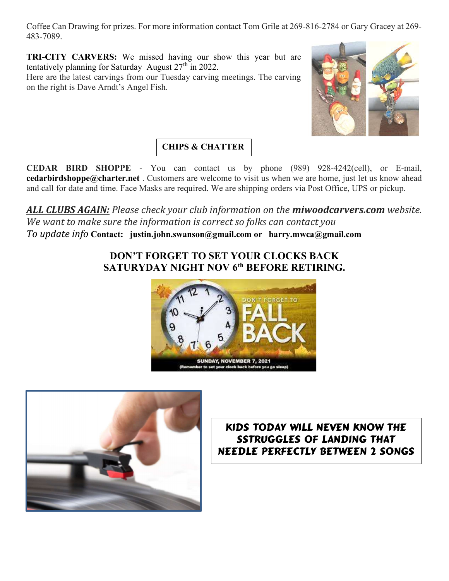Coffee Can Drawing for prizes. For more information contact Tom Grile at 269-816-2784 or Gary Gracey at 269- 483-7089.

TRI-CITY CARVERS: We missed having our show this year but are tentatively planning for Saturday August  $27<sup>th</sup>$  in 2022.

Here are the latest carvings from our Tuesday carving meetings. The carving on the right is Dave Arndt's Angel Fish.



# CHIPS & CHATTER

CEDAR BIRD SHOPPE - You can contact us by phone (989) 928-4242(cell), or E-mail, **cedarbirdshoppe@charter.net**. Customers are welcome to visit us when we are home, just let us know ahead and call for date and time. Face Masks are required. We are shipping orders via Post Office, UPS or pickup.

ALL CLUBS AGAIN: Please check your club information on the miwoodcarvers.com website. We want to make sure the information is correct so folks can contact you To update info Contact: justin.john.swanson@gmail.com or harry.mwca@gmail.com

## DON'T FORGET TO SET YOUR CLOCKS BACK SATURYDAY NIGHT NOV 6<sup>th</sup> BEFORE RETIRING.





# KIDS T0DAY WILL NEVEN KNOW THE SSTRUGGLES OF LANDING THAT NEEDLE PERFECTLY BETWEEN 2 SONGS